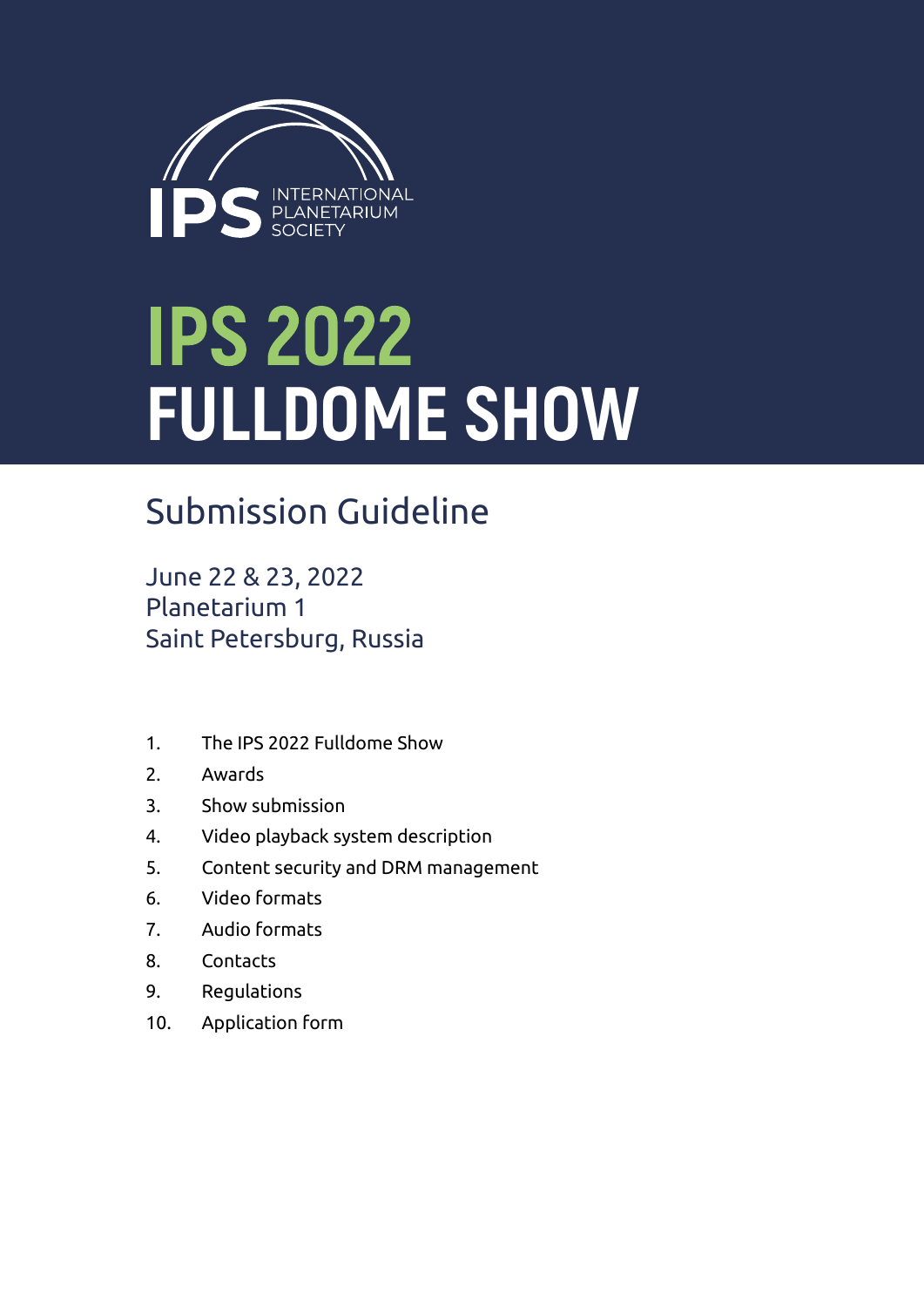

# **IPS 2022 FULLDOME SHOW**

## Submission Guideline

June 22 & 23, 2022 Planetarium 1 Saint Petersburg, Russia

- 1. The IPS 2022 Fulldome Show
- 2. Awards
- 3. Show submission
- 4. Video playback system description
- 5. Content security and DRM management
- 6. Video formats
- 7. Audio formats
- 8. Contacts
- 9. Regulations
- 10. Application form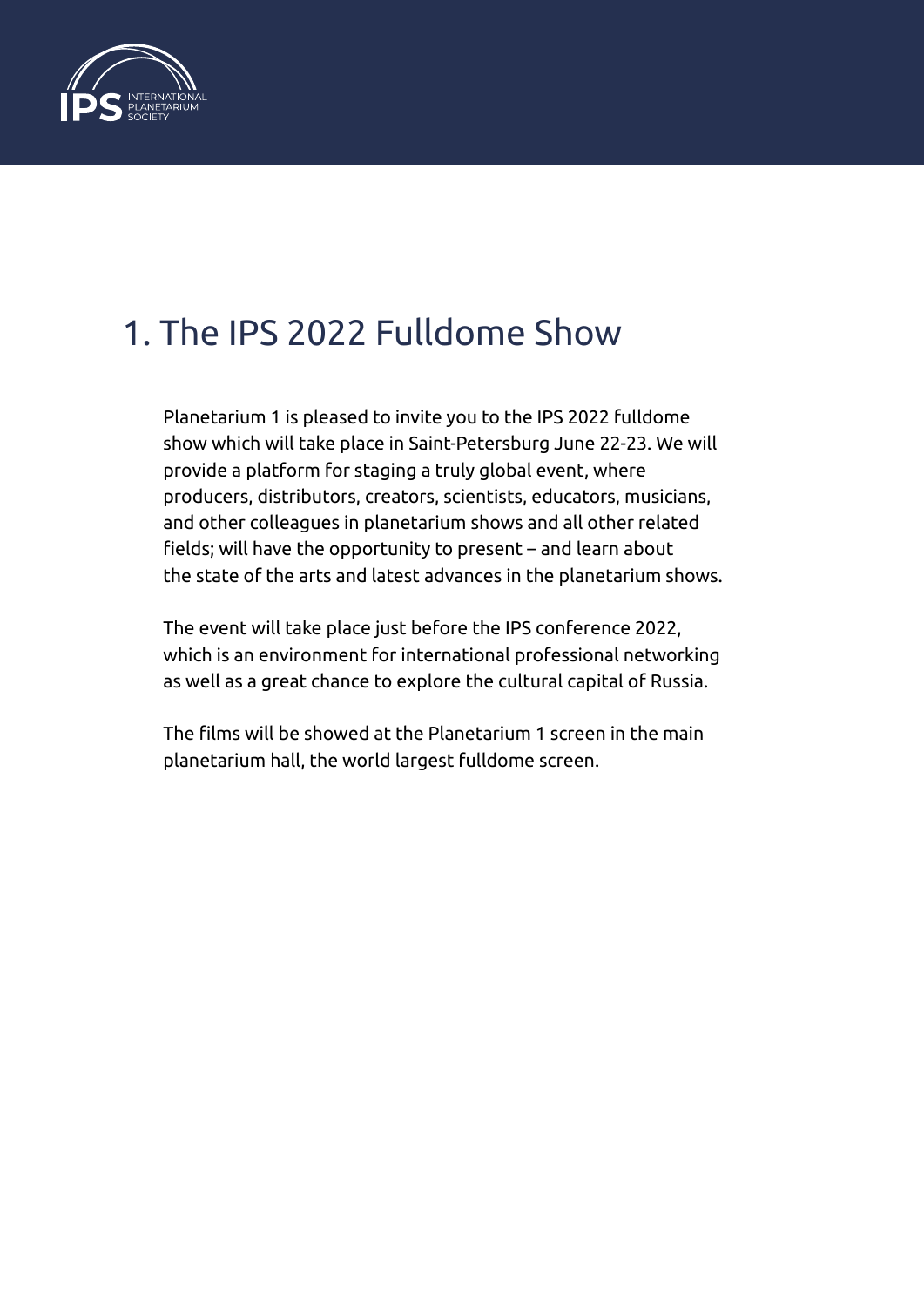

#### 1. The IPS 2022 Fulldome Show

Planetarium 1 is pleased to invite you to the IPS 2022 fulldome show which will take place in Saint-Petersburg June 22-23. We will provide a platform for staging a truly global event, where producers, distributors, creators, scientists, educators, musicians, and other colleagues in planetarium shows and all other related fields; will have the opportunity to present – and learn about the state of the arts and latest advances in the planetarium shows.

The event will take place just before the IPS conference 2022, which is an environment for international professional networking as well as a great chance to explore the cultural capital of Russia.

The films will be showed at the Planetarium 1 screen in the main planetarium hall, the world largest fulldome screen.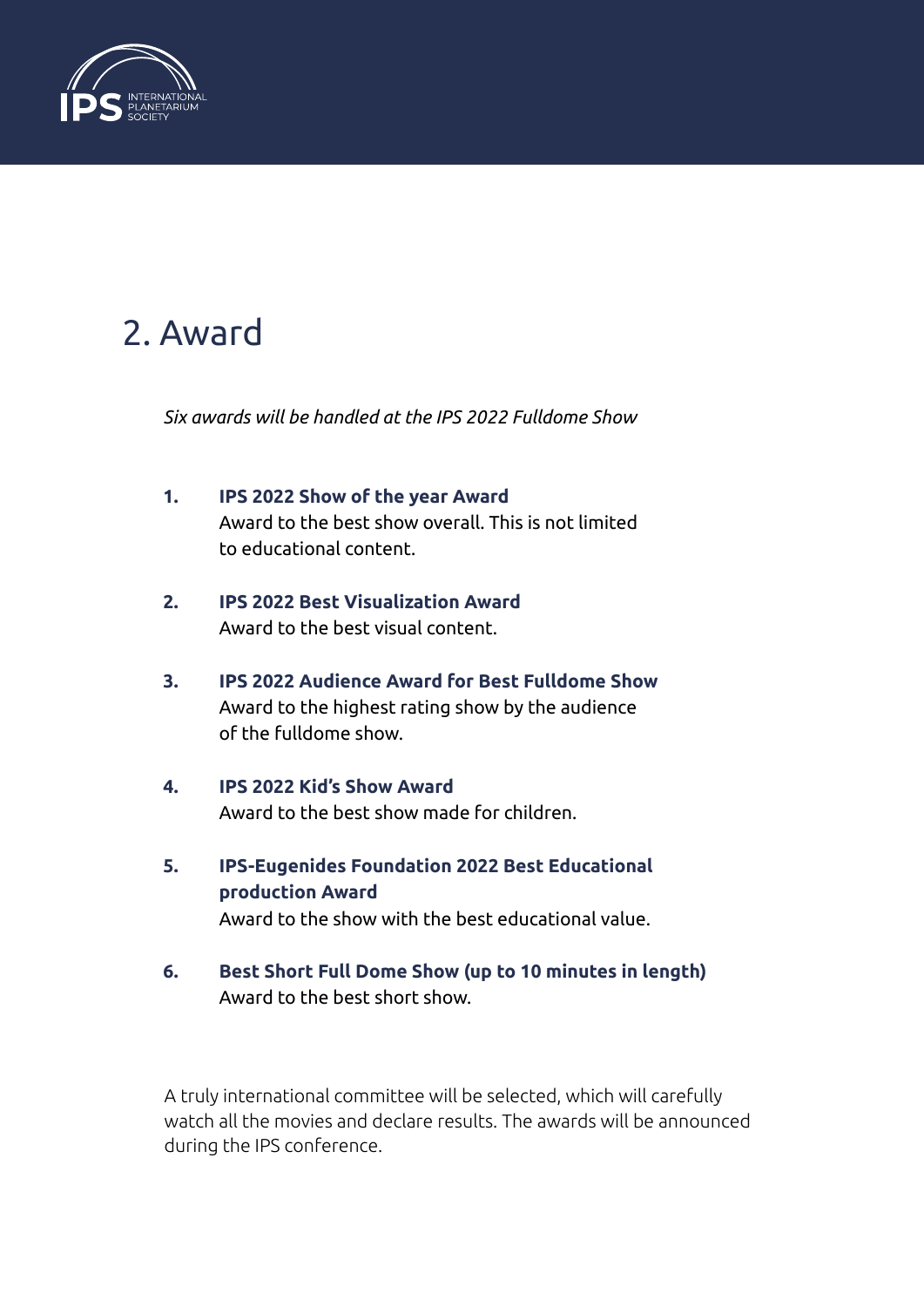

#### 2. Award

*Six awards will be handled at the IPS 2022 Fulldome Show*

- **1. IPS 2022 Show of the year Award** Award to the best show overall. This is not limited to educational content.
- **2. IPS 2022 Best Visualization Award** Award to the best visual content.
- **3. IPS 2022 Audience Award for Best Fulldome Show** Award to the highest rating show by the audience of the fulldome show.
- **4. IPS 2022 Kid's Show Award** Award to the best show made for children.
- **5. IPS-Eugenides Foundation 2022 Best Educational production Award** Award to the show with the best educational value.
- **6. Best Short Full Dome Show (up to 10 minutes in length)** Award to the best short show.

A truly international committee will be selected, which will carefully watch all the movies and declare results. The awards will be announced during the IPS conference.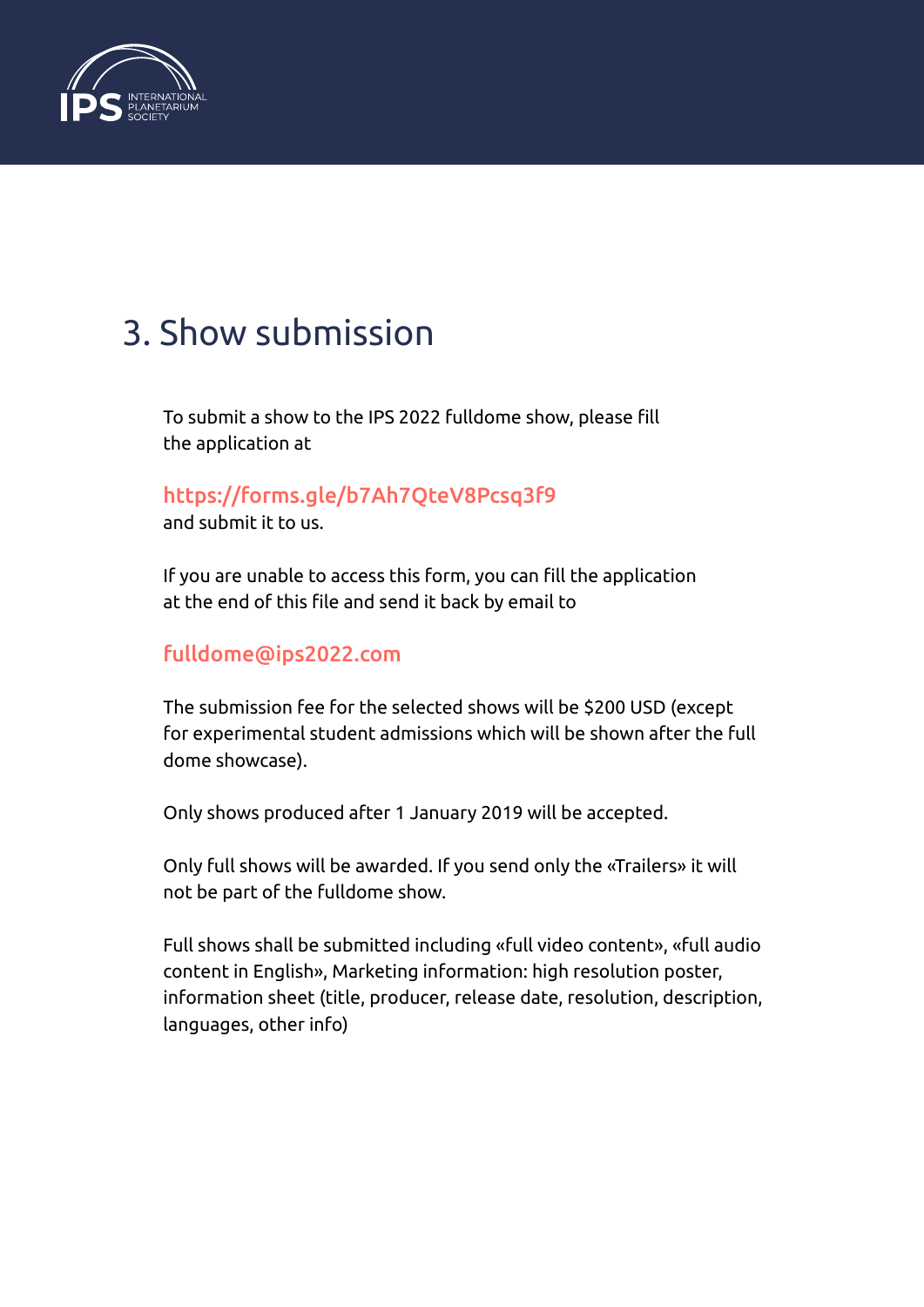

#### 3. Show submission

To submit a show to the IPS 2022 fulldome show, please fill the application at

#### <https://forms.gle/b7Ah7QteV8Pcsq3f9>

and submit it to us.

If you are unable to access this form, you can fill the application at the end of this file and send it back by email to

#### [fulldome@ips2022.com](mailto:fulldome@ips2022.com)

The submission fee for the selected shows will be \$200 USD (except for experimental student admissions which will be shown after the full dome showcase).

Only shows produced after 1 January 2019 will be accepted.

Only full shows will be awarded. If you send only the «Trailers» it will not be part of the fulldome show.

Full shows shall be submitted including «full video content», «full audio content in English», Marketing information: high resolution poster, information sheet (title, producer, release date, resolution, description, languages, other info)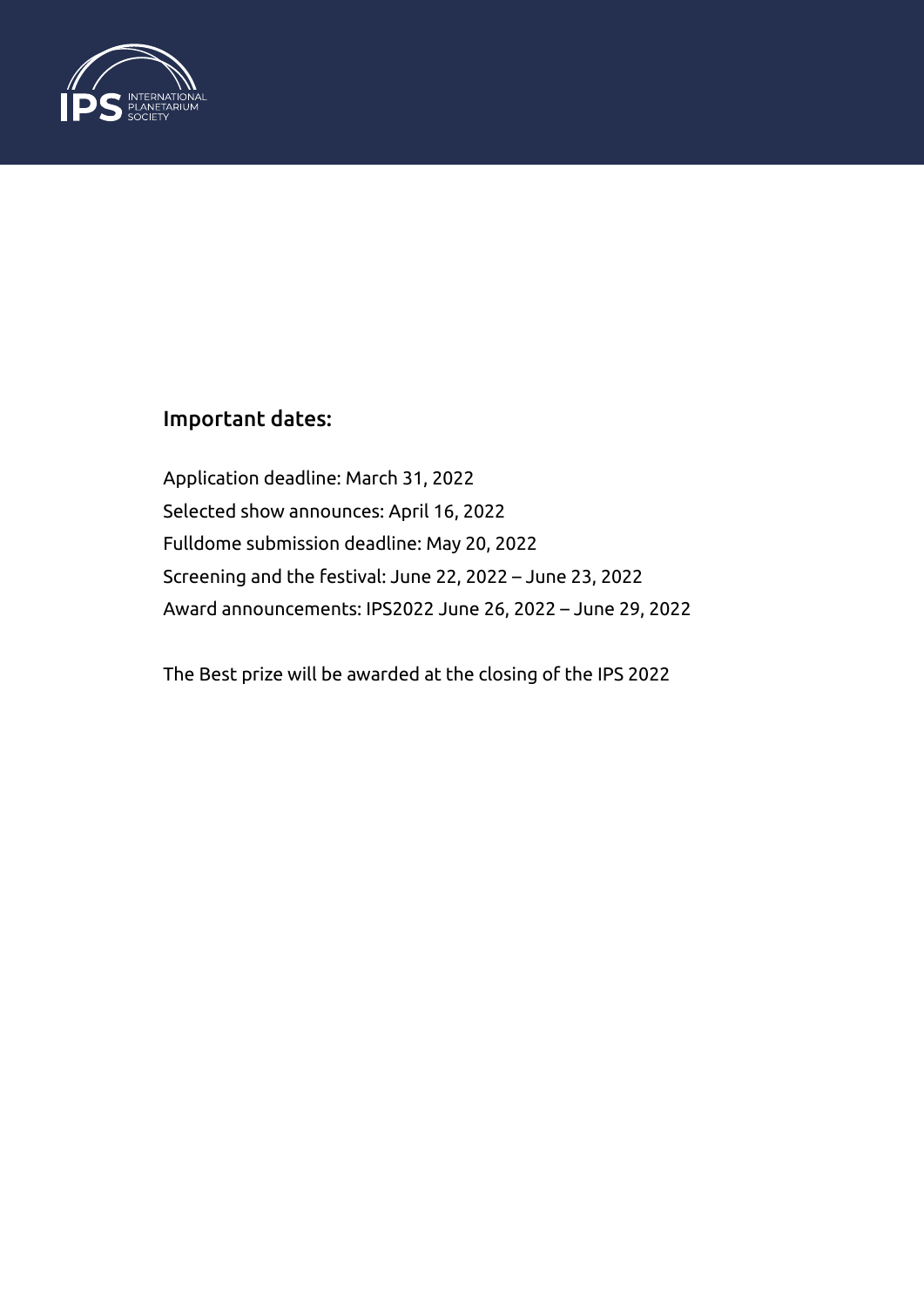

#### Important dates:

Application deadline: March 31, 2022 Selected show announces: April 16, 2022 Fulldome submission deadline: May 20, 2022 Screening and the festival: June 22, 2022 – June 23, 2022 Award announcements: IPS2022 June 26, 2022 – June 29, 2022

The Best prize will be awarded at the closing of the IPS 2022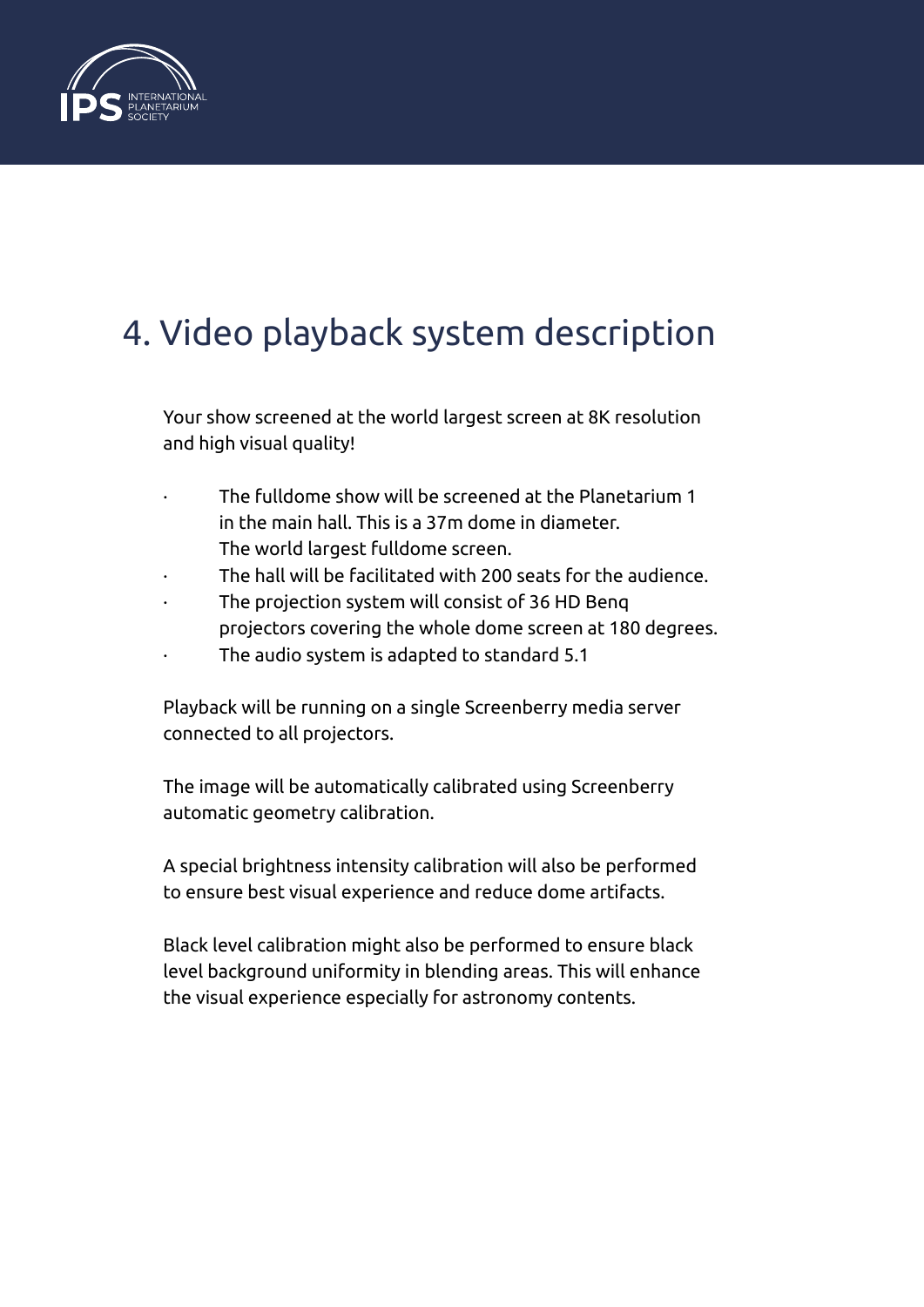

## 4. Video playback system description

Your show screened at the world largest screen at 8K resolution and high visual quality!

- The fulldome show will be screened at the Planetarium 1 in the main hall. This is a 37m dome in diameter. The world largest fulldome screen.
- The hall will be facilitated with 200 seats for the audience.
- The projection system will consist of 36 HD Benq projectors covering the whole dome screen at 180 degrees.
- The audio system is adapted to standard 5.1

Playback will be running on a single Screenberry media server connected to all projectors.

The image will be automatically calibrated using Screenberry automatic geometry calibration.

A special brightness intensity calibration will also be performed to ensure best visual experience and reduce dome artifacts.

Black level calibration might also be performed to ensure black level background uniformity in blending areas. This will enhance the visual experience especially for astronomy contents.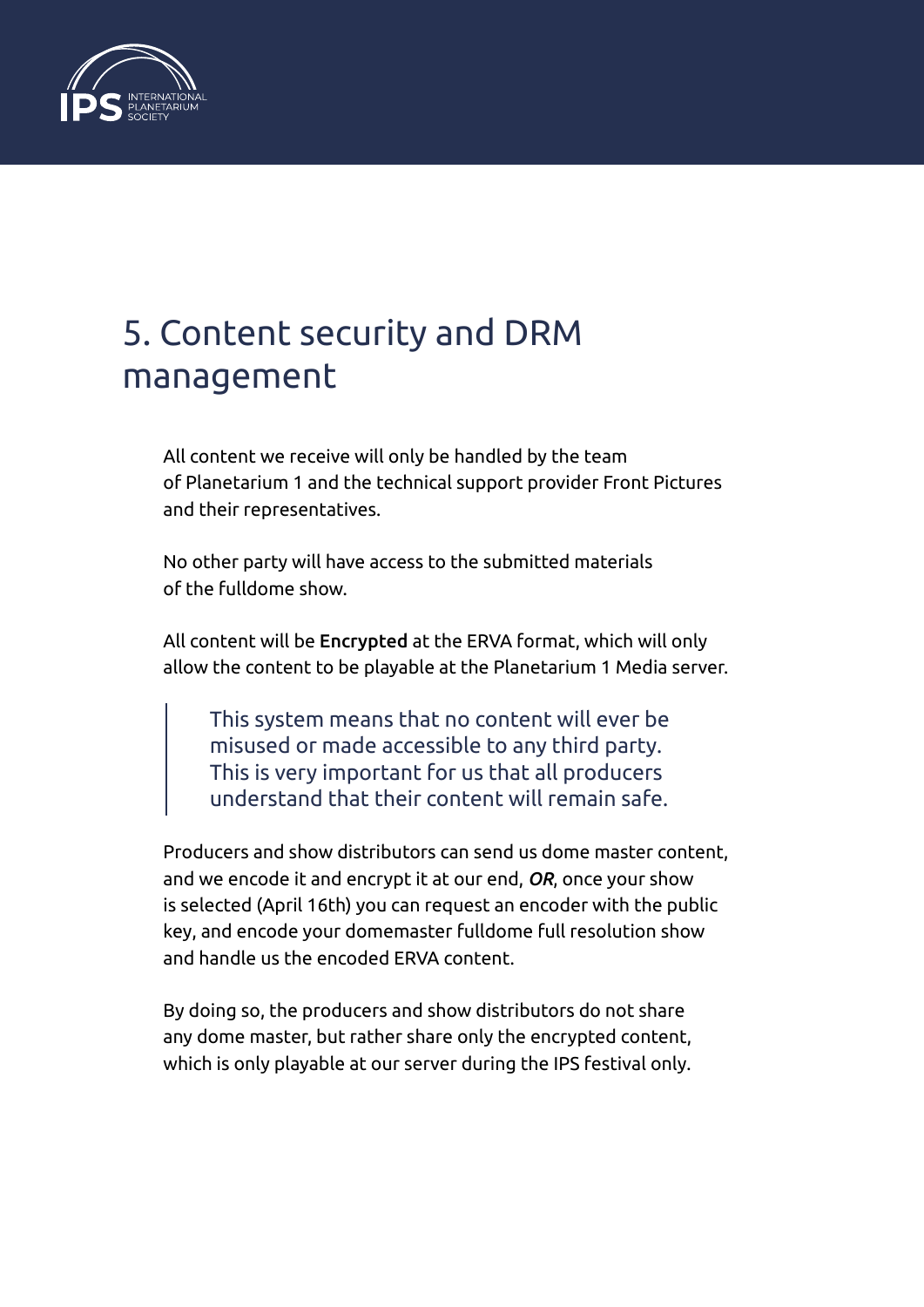

#### 5. Content security and DRM management

All content we receive will only be handled by the team of Planetarium 1 and the technical support provider Front Pictures and their representatives.

No other party will have access to the submitted materials of the fulldome show.

All content will be Encrypted at the ERVA format, which will only allow the content to be playable at the Planetarium 1 Media server.

This system means that no content will ever be misused or made accessible to any third party. This is very important for us that all producers understand that their content will remain safe.

Producers and show distributors can send us dome master content, and we encode it and encrypt it at our end, *OR*, once your show is selected (April 16th) you can request an encoder with the public key, and encode your domemaster fulldome full resolution show and handle us the encoded ERVA content.

By doing so, the producers and show distributors do not share any dome master, but rather share only the encrypted content, which is only playable at our server during the IPS festival only.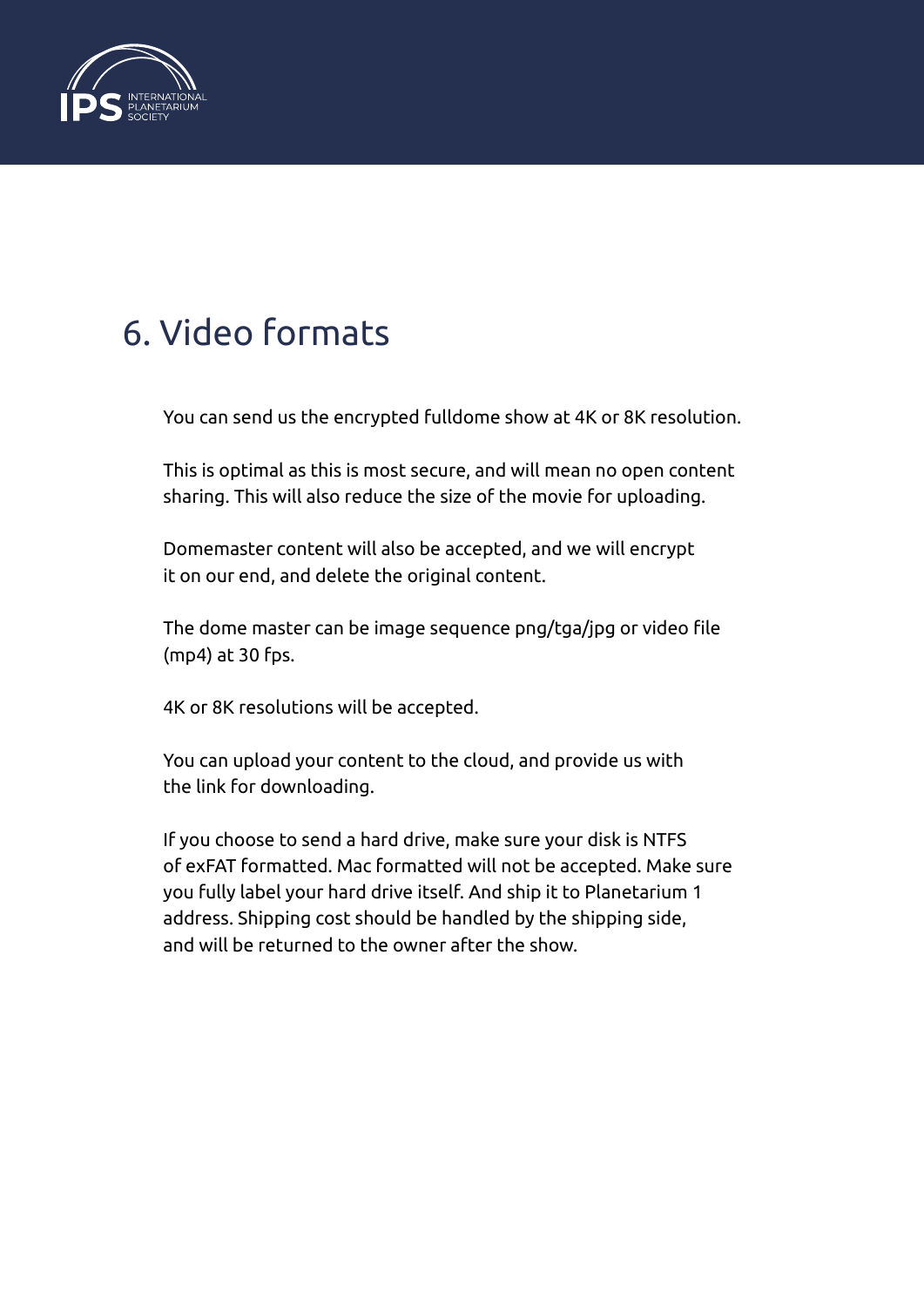

#### 6. Video formats

You can send us the encrypted fulldome show at 4K or 8K resolution.

This is optimal as this is most secure, and will mean no open content sharing. This will also reduce the size of the movie for uploading.

Domemaster content will also be accepted, and we will encrypt it on our end, and delete the original content.

The dome master can be image sequence png/tga/jpg or video file (mp4) at 30 fps.

4K or 8K resolutions will be accepted.

You can upload your content to the cloud, and provide us with the link for downloading.

If you choose to send a hard drive, make sure your disk is NTFS of exFAT formatted. Mac formatted will not be accepted. Make sure you fully label your hard drive itself. And ship it to Planetarium 1 address. Shipping cost should be handled by the shipping side, and will be returned to the owner after the show.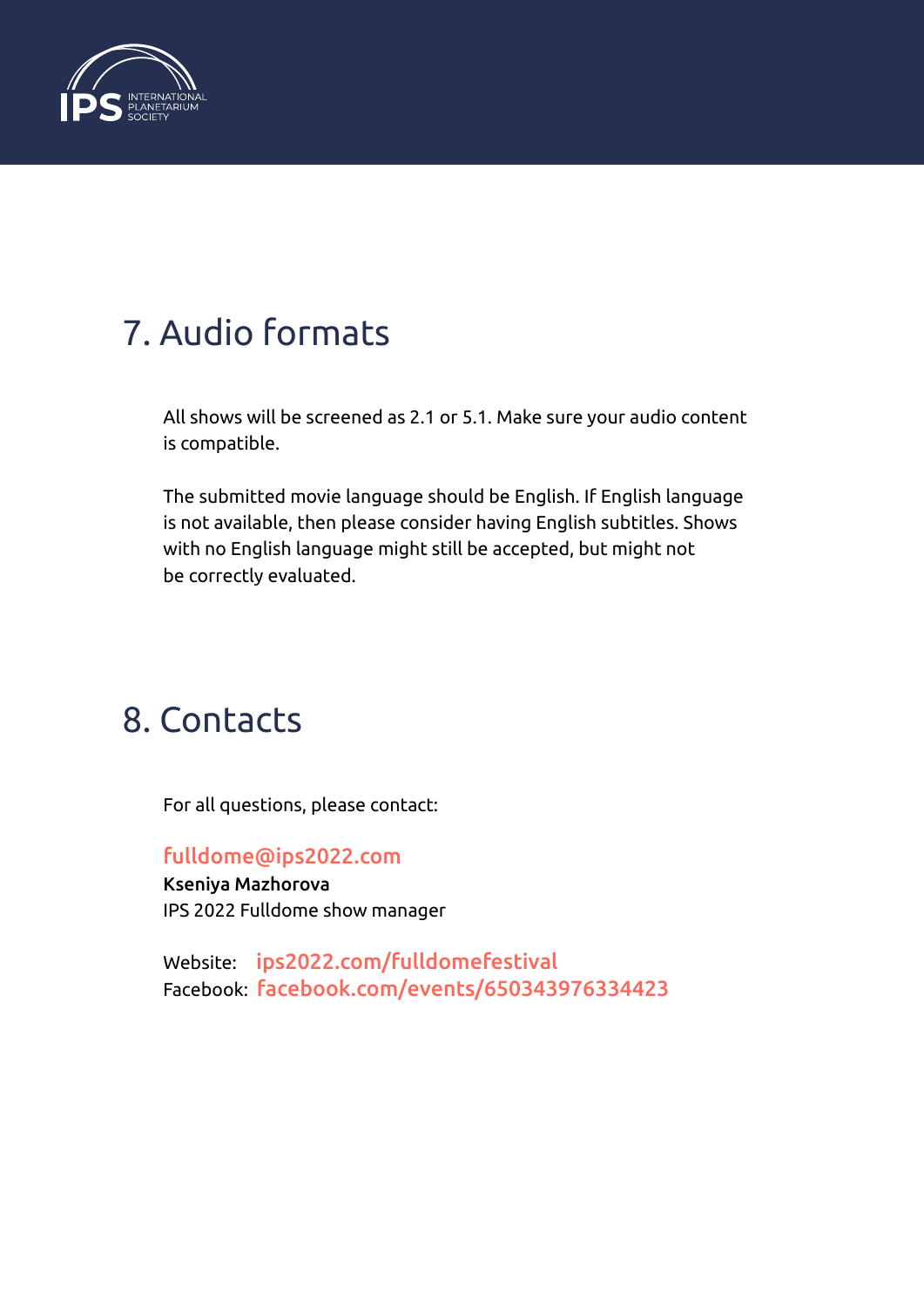

### 7. Audio formats

All shows will be screened as 2.1 or 5.1. Make sure your audio content is compatible.

The submitted movie language should be English. If English language is not available, then please consider having English subtitles. Shows with no English language might still be accepted, but might not be correctly evaluated.

#### 8. Contacts

For all questions, please contact:

[fulldome@ips2022.com](mailto:fulldome@ips2022.com)

Kseniya Mazhorova IPS 2022 Fulldome show manager

Website: [ips2022.com/fulldomefestival](https://www.ips2022.com/fulldomefestival) Facebook: [facebook.com/events/650343976334423](https://www.facebook.com/events/650343976334423)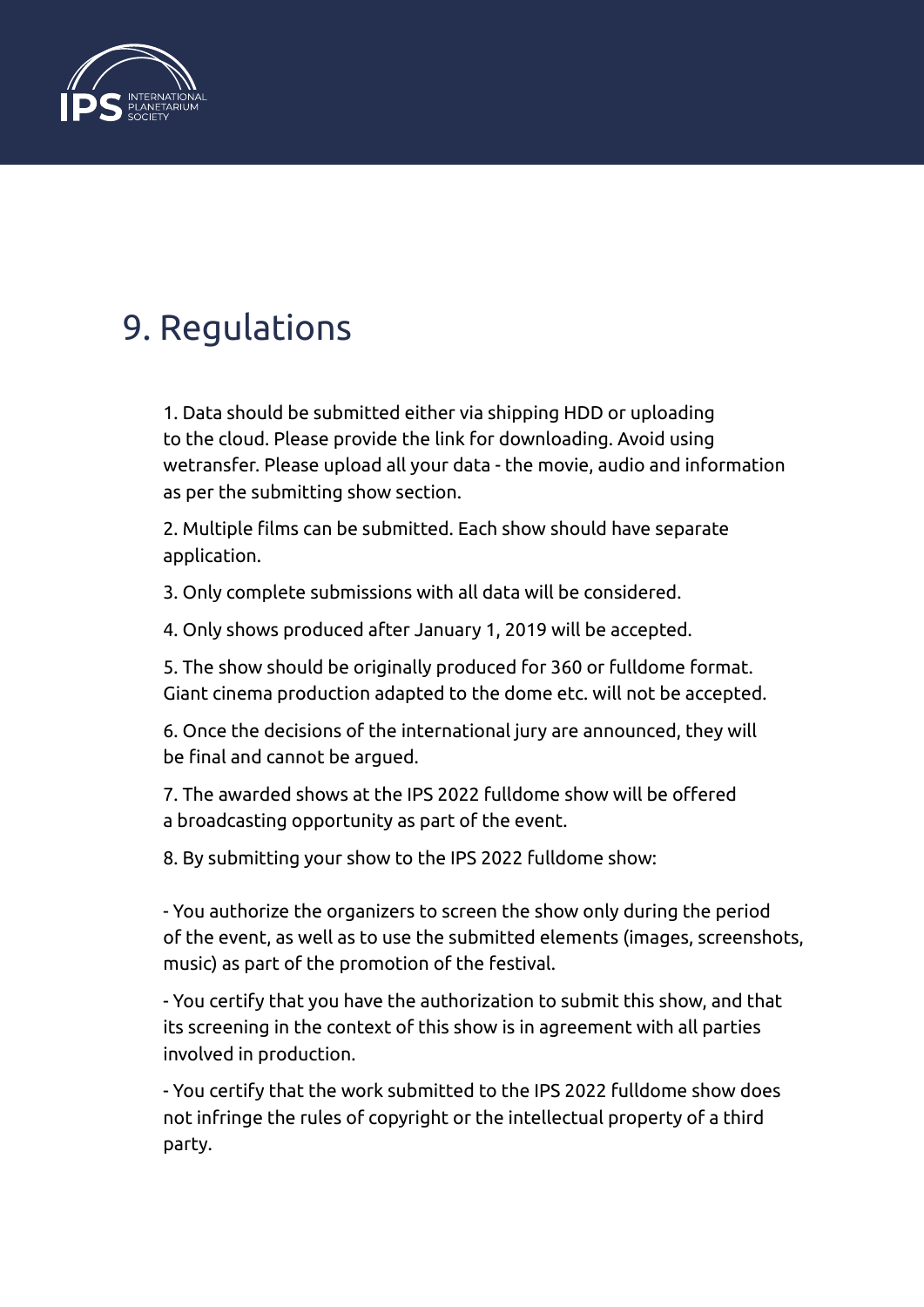

#### 9. Regulations

1. Data should be submitted either via shipping HDD or uploading to the cloud. Please provide the link for downloading. Avoid using wetransfer. Please upload all your data - the movie, audio and information as per the submitting show section.

2. Multiple films can be submitted. Each show should have separate application.

3. Only complete submissions with all data will be considered.

4. Only shows produced after January 1, 2019 will be accepted.

5. The show should be originally produced for 360 or fulldome format. Giant cinema production adapted to the dome etc. will not be accepted.

6. Once the decisions of the international jury are announced, they will be final and cannot be argued.

7. The awarded shows at the IPS 2022 fulldome show will be offered a broadcasting opportunity as part of the event.

8. By submitting your show to the IPS 2022 fulldome show:

- You authorize the organizers to screen the show only during the period of the event, as well as to use the submitted elements (images, screenshots, music) as part of the promotion of the festival.

- You certify that you have the authorization to submit this show, and that its screening in the context of this show is in agreement with all parties involved in production.

- You certify that the work submitted to the IPS 2022 fulldome show does not infringe the rules of copyright or the intellectual property of a third party.